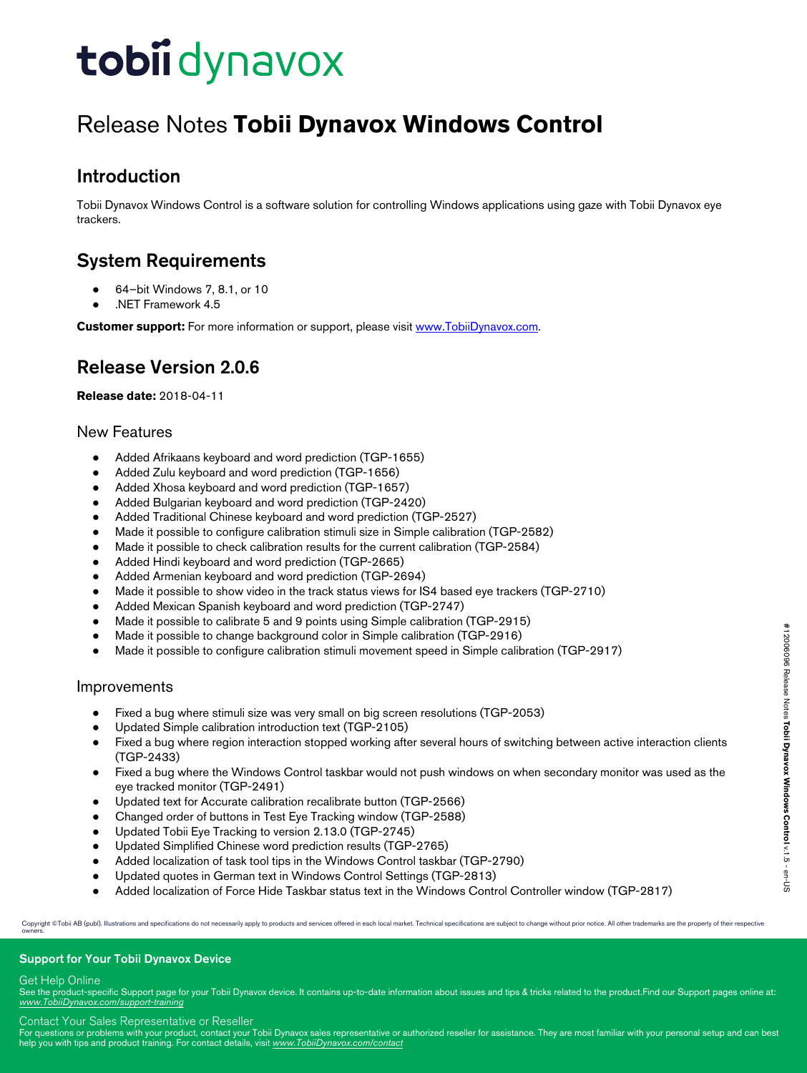# Release Notes **Tobii Dynavox Windows Control**

## Introduction

Tobii Dynavox Windows Control is a software solution for controlling Windows applications using gaze with Tobii Dynavox eye trackers.

## System Requirements

- 64-bit Windows 7, 8.1, or 10
- .NET Framework 4.5

**Customer support:** For more information or support, please visit [www.TobiiDynavox.com](http://www.tobiidynavox.com).

## Release Version 2.0.6

**Release date:** 2018-04-11

## New Features

- Added Afrikaans keyboard and word prediction (TGP-1655)
- Added Zulu keyboard and word prediction (TGP-1656)
- Added Xhosa keyboard and word prediction (TGP-1657)
- Added Bulgarian keyboard and word prediction (TGP-2420)
- Added Traditional Chinese keyboard and word prediction (TGP-2527)
- Made it possible to configure calibration stimuli size in Simple calibration (TGP-2582)
- Made it possible to check calibration results for the current calibration (TGP-2584)
- Added Hindi keyboard and word prediction (TGP-2665)
- Added Armenian keyboard and word prediction (TGP-2694)
- Made it possible to show video in the track status views for IS4 based eye trackers (TGP-2710)
- Added Mexican Spanish keyboard and word prediction (TGP-2747)
- Made it possible to calibrate 5 and 9 points using Simple calibration (TGP-2915)
- Made it possible to change background color in Simple calibration (TGP-2916)
- Made it possible to configure calibration stimuli movement speed in Simple calibration (TGP-2917)

## Improvements

- Fixed a bug where stimuli size was very small on big screen resolutions (TGP-2053)
- Updated Simple calibration introduction text (TGP-2105)
- Fixed a bug where region interaction stopped working after several hours of switching between active interaction clients (TGP-2433)
- Fixed a bug where the Windows Control taskbar would not push windows on when secondary monitor was used as the eye tracked monitor (TGP-2491)
- Updated text for Accurate calibration recalibrate button (TGP-2566)
- Changed order of buttons in Test Eye Tracking window (TGP-2588)
- Updated Tobii Eye Tracking to version 2.13.0 (TGP-2745)
- Updated Simplified Chinese word prediction results (TGP-2765)
- Added localization of task tool tips in the Windows Control taskbar (TGP-2790)
- Updated quotes in German text in Windows Control Settings (TGP-2813)
- Added localization of Force Hide Taskbar status text in the Windows Control Controller window (TGP-2817)

Copyright ©Tobii AB (publ). Illustrations and specifications do not necessarily apply to products and services offered in each local market. Technical specifications are subject to change without prior notice. All other tr

#### Support for Your Tobii Dynavox Device

#### Get Help Online

See the product-specific Support page for your Tobii Dynavox device. It contains up-to-date information about issues and tips & tricks related to the product. Find our Support pages online at: *[www.TobiiDynavox.com/support-training](http://www.TobiiDynavox.com/support-training)*

Contact Your Sales Representative or Reseller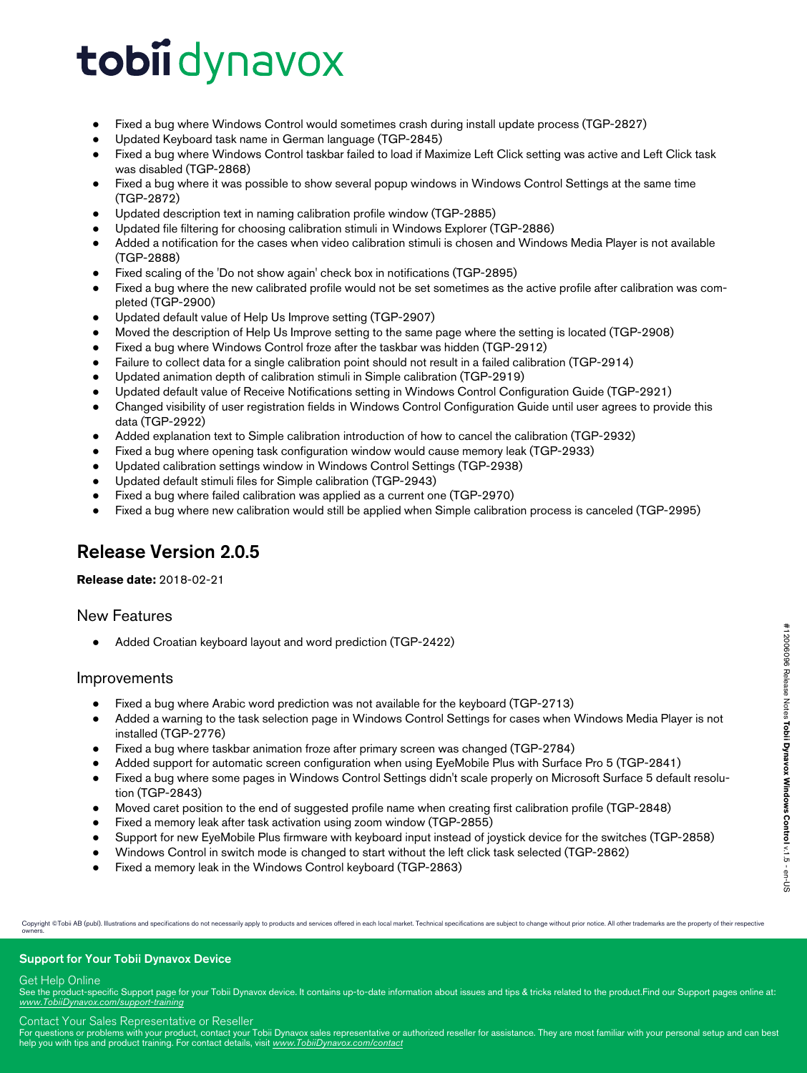- Fixed a bug where Windows Control would sometimes crash during install update process (TGP-2827)
- Updated Keyboard task name in German language (TGP-2845)
- Fixed a bug where Windows Control taskbar failed to load if Maximize Left Click setting was active and Left Click task was disabled (TGP-2868)
- Fixed a bug where it was possible to show several popup windows in Windows Control Settings at the same time (TGP-2872)
- Updated description text in naming calibration profile window (TGP-2885)
- Updated file filtering for choosing calibration stimuli in Windows Explorer (TGP-2886)
- Added a notification for the cases when video calibration stimuli is chosen and Windows Media Player is not available (TGP-2888)
- Fixed scaling of the 'Do not show again' check box in notifications (TGP-2895)
- Fixed a bug where the new calibrated profile would not be set sometimes as the active profile after calibration was completed (TGP-2900)
- Updated default value of Help Us Improve setting (TGP-2907)
- Moved the description of Help Us Improve setting to the same page where the setting is located (TGP-2908)
- Fixed a bug where Windows Control froze after the taskbar was hidden (TGP-2912)
- Failure to collect data for a single calibration point should not result in a failed calibration (TGP-2914)
- Updated animation depth of calibration stimuli in Simple calibration (TGP-2919)
- Updated default value of Receive Notifications setting in Windows Control Configuration Guide (TGP-2921)
- Changed visibility of user registration fields in Windows Control Configuration Guide until user agrees to provide this data (TGP-2922)
- Added explanation text to Simple calibration introduction of how to cancel the calibration (TGP-2932)
- Fixed a bug where opening task configuration window would cause memory leak (TGP-2933)
- Updated calibration settings window in Windows Control Settings (TGP-2938)
- Updated default stimuli files for Simple calibration (TGP-2943)
- Fixed a bug where failed calibration was applied as a current one (TGP-2970)
- Fixed a bug where new calibration would still be applied when Simple calibration process is canceled (TGP-2995)

## Release Version 2.0.5

#### **Release date:** 2018-02-21

#### New Features

Added Croatian keyboard layout and word prediction (TGP-2422)

#### Improvements

- Fixed a bug where Arabic word prediction was not available for the keyboard (TGP-2713)
- Added a warning to the task selection page in Windows Control Settings for cases when Windows Media Player is not installed (TGP-2776)
- Fixed a bug where taskbar animation froze after primary screen was changed (TGP-2784)
- Added support for automatic screen configuration when using EyeMobile Plus with Surface Pro 5 (TGP-2841)
- Fixed a bug where some pages in Windows Control Settings didn't scale properly on Microsoft Surface 5 default resolution (TGP-2843)
- Moved caret position to the end of suggested profile name when creating first calibration profile (TGP-2848)
- Fixed a memory leak after task activation using zoom window (TGP-2855)
- Support for new EyeMobile Plus firmware with keyboard input instead of joystick device for the switches (TGP-2858)
- Windows Control in switch mode is changed to start without the left click task selected (TGP-2862)
- Fixed a memory leak in the Windows Control keyboard (TGP-2863)

Copyright @Tobii AB (publ). Illustrations and specifications do not necessarily apply to products and services offered in each local market. Technical specifications are subject to change without prior notice. All other tr owners.

#### Support for Your Tobii Dynavox Device

#### Get Help Online

See the product-specific Support page for your Tobii Dynavox device. It contains up-to-date information about issues and tips & tricks related to the product. Find our Support pages online at: *[www.TobiiDynavox.com/support-training](http://www.TobiiDynavox.com/support-training)*

#### Contact Your Sales Representative or Reseller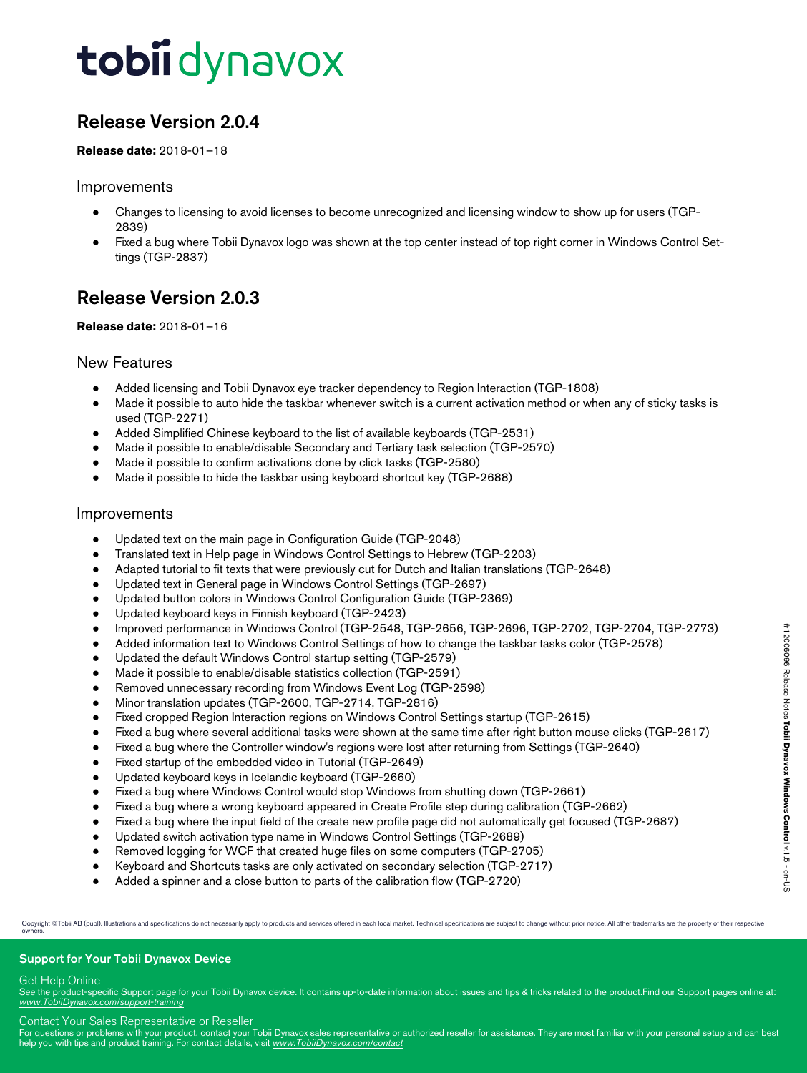## Release Version 2.0.4

#### **Release date:** 2018-01–18

### Improvements

- Changes to licensing to avoid licenses to become unrecognized and licensing window to show up for users (TGP-2839)
- Fixed a bug where Tobii Dynavox logo was shown at the top center instead of top right corner in Windows Control Settings (TGP-2837)

## Release Version 2.0.3

#### **Release date:** 2018-01–16

### New Features

- Added licensing and Tobii Dynavox eye tracker dependency to Region Interaction (TGP-1808)
- Made it possible to auto hide the taskbar whenever switch is a current activation method or when any of sticky tasks is used (TGP-2271)
- Added Simplified Chinese keyboard to the list of available keyboards (TGP-2531)
- Made it possible to enable/disable Secondary and Tertiary task selection (TGP-2570)
- Made it possible to confirm activations done by click tasks (TGP-2580)
- Made it possible to hide the taskbar using keyboard shortcut key (TGP-2688)

### Improvements

- Updated text on the main page in Configuration Guide (TGP-2048)
- Translated text in Help page in Windows Control Settings to Hebrew (TGP-2203)
- Adapted tutorial to fit texts that were previously cut for Dutch and Italian translations (TGP-2648)
- Updated text in General page in Windows Control Settings (TGP-2697)
- Updated button colors in Windows Control Configuration Guide (TGP-2369)
- Updated keyboard keys in Finnish keyboard (TGP-2423)
- Improved performance in Windows Control (TGP-2548, TGP-2656, TGP-2696, TGP-2702, TGP-2704, TGP-2773)
- Added information text to Windows Control Settings of how to change the taskbar tasks color (TGP-2578)
- Updated the default Windows Control startup setting (TGP-2579)
- Made it possible to enable/disable statistics collection (TGP-2591)
- Removed unnecessary recording from Windows Event Log (TGP-2598)
- Minor translation updates (TGP-2600, TGP-2714, TGP-2816)
- Fixed cropped Region Interaction regions on Windows Control Settings startup (TGP-2615)
- Fixed a bug where several additional tasks were shown at the same time after right button mouse clicks (TGP-2617)
- Fixed a bug where the Controller window's regions were lost after returning from Settings (TGP-2640)
- Fixed startup of the embedded video in Tutorial (TGP-2649)
- Updated keyboard keys in Icelandic keyboard (TGP-2660)
- Fixed a bug where Windows Control would stop Windows from shutting down (TGP-2661)
- Fixed a bug where a wrong keyboard appeared in Create Profile step during calibration (TGP-2662)
- Fixed a bug where the input field of the create new profile page did not automatically get focused (TGP-2687)
- Updated switch activation type name in Windows Control Settings (TGP-2689)
- Removed logging for WCF that created huge files on some computers (TGP-2705)
- Keyboard and Shortcuts tasks are only activated on secondary selection (TGP-2717)
- Added a spinner and a close button to parts of the calibration flow (TGP-2720)

Copyright @Tobii AB (publ). Illustrations and specifications do not necessarily apply to products and services offered in each local market. Technical specifications are subject to change without prior notice. All other tr owners.

#### Support for Your Tobii Dynavox Device

#### Get Help Online

See the product-specific Support page for your Tobii Dynavox device. It contains up-to-date information about issues and tips & tricks related to the product. Find our Support pages online at: *[www.TobiiDynavox.com/support-training](http://www.TobiiDynavox.com/support-training)*

Contact Your Sales Representative or Reseller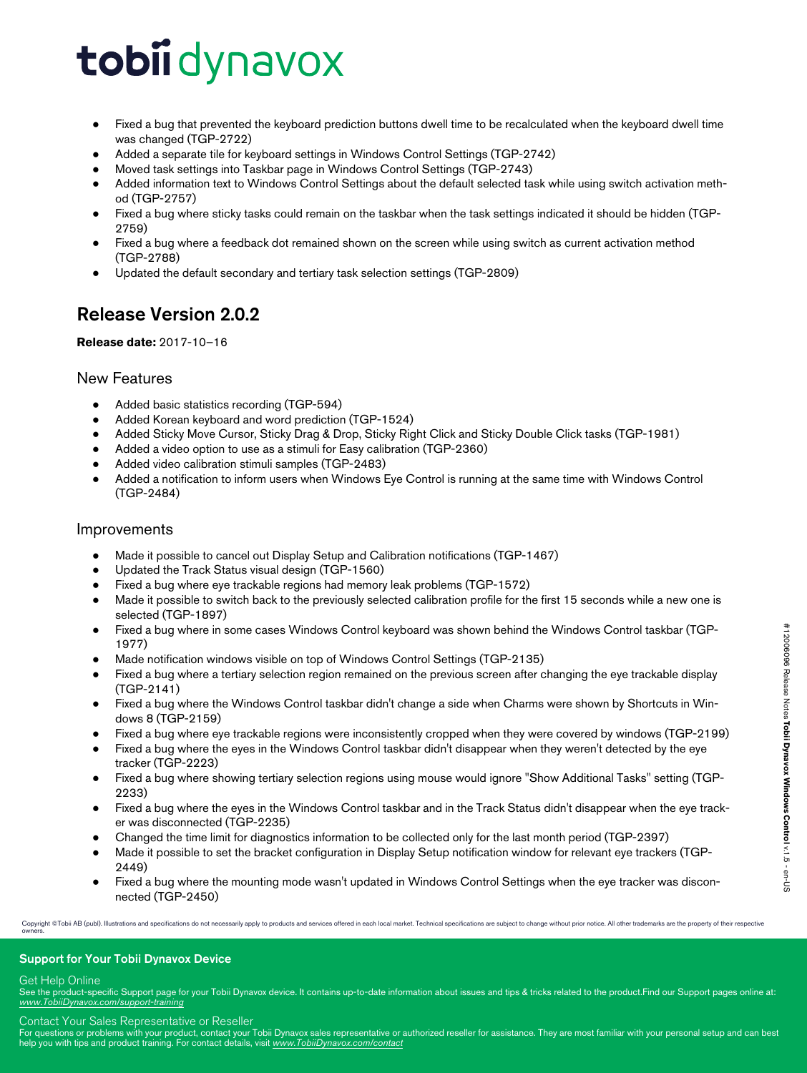- Fixed a bug that prevented the keyboard prediction buttons dwell time to be recalculated when the keyboard dwell time was changed (TGP-2722)
- Added a separate tile for keyboard settings in Windows Control Settings (TGP-2742)
- Moved task settings into Taskbar page in Windows Control Settings (TGP-2743)
- Added information text to Windows Control Settings about the default selected task while using switch activation method (TGP-2757)
- Fixed a bug where sticky tasks could remain on the taskbar when the task settings indicated it should be hidden (TGP-2759)
- Fixed a bug where a feedback dot remained shown on the screen while using switch as current activation method (TGP-2788)
- Updated the default secondary and tertiary task selection settings (TGP-2809)

## Release Version 2.0.2

### **Release date:** 2017-10–16

### New Features

- Added basic statistics recording (TGP-594)
- Added Korean keyboard and word prediction (TGP-1524)
- Added Sticky Move Cursor, Sticky Drag & Drop, Sticky Right Click and Sticky Double Click tasks (TGP-1981)
- Added a video option to use as a stimuli for Easy calibration (TGP-2360)
- Added video calibration stimuli samples (TGP-2483)
- Added a notification to inform users when Windows Eye Control is running at the same time with Windows Control (TGP-2484)

### Improvements

- Made it possible to cancel out Display Setup and Calibration notifications (TGP-1467)
- Updated the Track Status visual design (TGP-1560)
- Fixed a bug where eye trackable regions had memory leak problems (TGP-1572)
- Made it possible to switch back to the previously selected calibration profile for the first 15 seconds while a new one is selected (TGP-1897)
- Fixed a bug where in some cases Windows Control keyboard was shown behind the Windows Control taskbar (TGP-1977)
- Made notification windows visible on top of Windows Control Settings (TGP-2135)
- Fixed a bug where a tertiary selection region remained on the previous screen after changing the eye trackable display (TGP-2141)
- Fixed a bug where the Windows Control taskbar didn't change a side when Charms were shown by Shortcuts in Windows 8 (TGP-2159)
- Fixed a bug where eye trackable regions were inconsistently cropped when they were covered by windows (TGP-2199)
- Fixed a bug where the eyes in the Windows Control taskbar didn't disappear when they weren't detected by the eye tracker (TGP-2223)
- Fixed a bug where showing tertiary selection regions using mouse would ignore "Show Additional Tasks" setting (TGP-2233)
- Fixed a bug where the eyes in the Windows Control taskbar and in the Track Status didn't disappear when the eye tracker was disconnected (TGP-2235)
- Changed the time limit for diagnostics information to be collected only for the last month period (TGP-2397)
- Made it possible to set the bracket configuration in Display Setup notification window for relevant eye trackers (TGP-2449)
- Fixed a bug where the mounting mode wasn't updated in Windows Control Settings when the eye tracker was disconnected (TGP-2450)

Copyright ©Tobii AB (publ). Illustrations and specifications do not necessarily apply to products and services offered in each local market. Technical specifications are subject to change without prior notice. All other tr

#### Support for Your Tobii Dynavox Device

#### Get Help Online

See the product-specific Support page for your Tobii Dynavox device. It contains up-to-date information about issues and tips & tricks related to the product. Find our Support pages online at: *[www.TobiiDynavox.com/support-training](http://www.TobiiDynavox.com/support-training)*

Contact Your Sales Representative or Reseller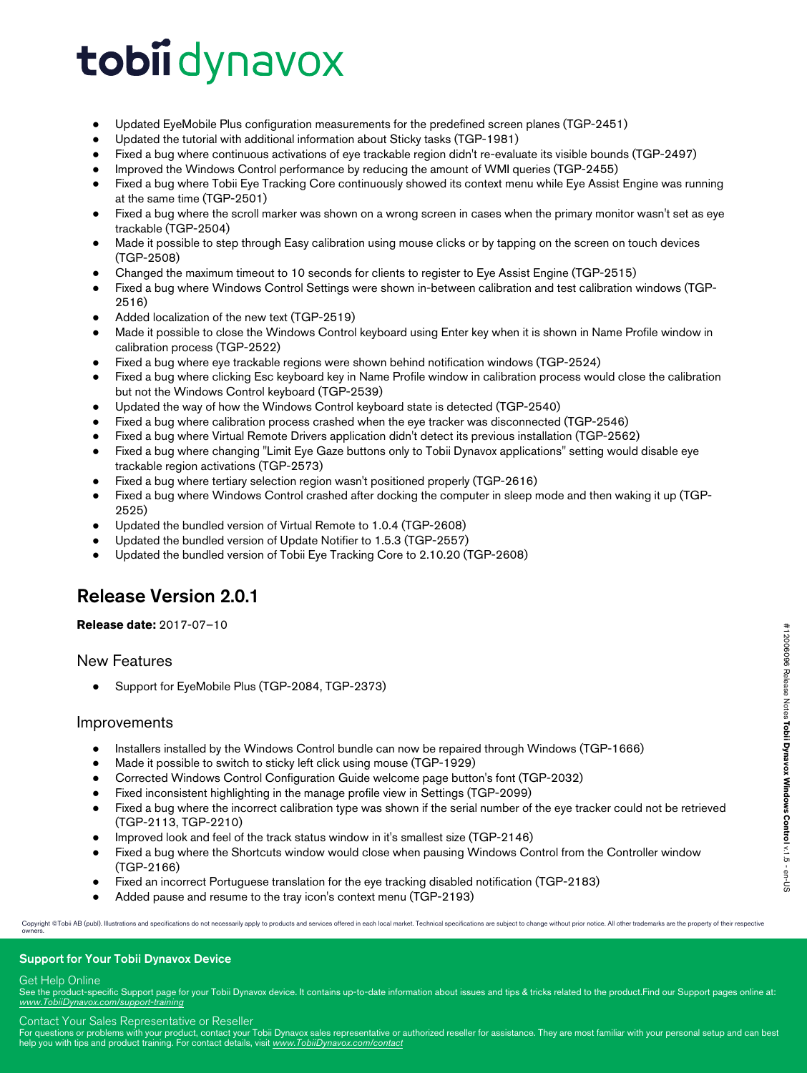- Updated EyeMobile Plus configuration measurements for the predefined screen planes (TGP-2451)
- Updated the tutorial with additional information about Sticky tasks (TGP-1981)
- Fixed a bug where continuous activations of eye trackable region didn't re-evaluate its visible bounds (TGP-2497)
- Improved the Windows Control performance by reducing the amount of WMI queries (TGP-2455)
- Fixed a bug where Tobii Eye Tracking Core continuously showed its context menu while Eye Assist Engine was running at the same time (TGP-2501)
- Fixed a bug where the scroll marker was shown on a wrong screen in cases when the primary monitor wasn't set as eye trackable (TGP-2504)
- Made it possible to step through Easy calibration using mouse clicks or by tapping on the screen on touch devices (TGP-2508)
- Changed the maximum timeout to 10 seconds for clients to register to Eye Assist Engine (TGP-2515)
- Fixed a bug where Windows Control Settings were shown in-between calibration and test calibration windows (TGP-2516)
- Added localization of the new text (TGP-2519)
- Made it possible to close the Windows Control keyboard using Enter key when it is shown in Name Profile window in calibration process (TGP-2522)
- Fixed a bug where eye trackable regions were shown behind notification windows (TGP-2524)
- Fixed a bug where clicking Esc keyboard key in Name Profile window in calibration process would close the calibration but not the Windows Control keyboard (TGP-2539)
- Updated the way of how the Windows Control keyboard state is detected (TGP-2540)
- Fixed a bug where calibration process crashed when the eye tracker was disconnected (TGP-2546)
- Fixed a bug where Virtual Remote Drivers application didn't detect its previous installation (TGP-2562)
- Fixed a bug where changing "Limit Eye Gaze buttons only to Tobii Dynavox applications" setting would disable eye trackable region activations (TGP-2573)
- Fixed a bug where tertiary selection region wasn't positioned properly (TGP-2616)
- Fixed a bug where Windows Control crashed after docking the computer in sleep mode and then waking it up (TGP-2525)
- Updated the bundled version of Virtual Remote to 1.0.4 (TGP-2608)
- Updated the bundled version of Update Notifier to 1.5.3 (TGP-2557)
- Updated the bundled version of Tobii Eye Tracking Core to 2.10.20 (TGP-2608)

## Release Version 2.0.1

**Release date:** 2017-07–10

## New Features

Support for EyeMobile Plus (TGP-2084, TGP-2373)

#### Improvements

- Installers installed by the Windows Control bundle can now be repaired through Windows (TGP-1666)
- Made it possible to switch to sticky left click using mouse (TGP-1929)
- Corrected Windows Control Configuration Guide welcome page button's font (TGP-2032)
- Fixed inconsistent highlighting in the manage profile view in Settings (TGP-2099)
- Fixed a bug where the incorrect calibration type was shown if the serial number of the eye tracker could not be retrieved (TGP-2113, TGP-2210)
- Improved look and feel of the track status window in it's smallest size (TGP-2146)
- Fixed a bug where the Shortcuts window would close when pausing Windows Control from the Controller window (TGP-2166)
- Fixed an incorrect Portuguese translation for the eye tracking disabled notification (TGP-2183)
- Added pause and resume to the tray icon's context menu (TGP-2193)

Copyright ©Tobii AB (publ). Illustrations and specifications do not necessarily apply to products and services offered in each local market. Technical specifications are subject to change without prior notice. All other tr

#### Support for Your Tobii Dynavox Device

#### Get Help Online

See the product-specific Support page for your Tobii Dynavox device. It contains up-to-date information about issues and tips & tricks related to the product. Find our Support pages online at: *[www.TobiiDynavox.com/support-training](http://www.TobiiDynavox.com/support-training)*

Contact Your Sales Representative or Reseller